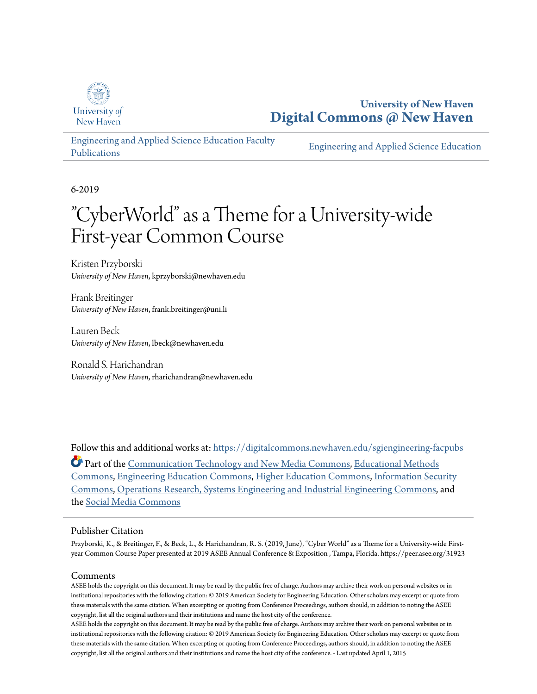

**University of New Haven [Digital Commons @ New Haven](https://digitalcommons.newhaven.edu?utm_source=digitalcommons.newhaven.edu%2Fsgiengineering-facpubs%2F28&utm_medium=PDF&utm_campaign=PDFCoverPages)**

[Engineering and Applied Science Education Faculty](https://digitalcommons.newhaven.edu/sgiengineering-facpubs?utm_source=digitalcommons.newhaven.edu%2Fsgiengineering-facpubs%2F28&utm_medium=PDF&utm_campaign=PDFCoverPages) [Publications](https://digitalcommons.newhaven.edu/sgiengineering-facpubs?utm_source=digitalcommons.newhaven.edu%2Fsgiengineering-facpubs%2F28&utm_medium=PDF&utm_campaign=PDFCoverPages)

[Engineering and Applied Science Education](https://digitalcommons.newhaven.edu/sgiengineering?utm_source=digitalcommons.newhaven.edu%2Fsgiengineering-facpubs%2F28&utm_medium=PDF&utm_campaign=PDFCoverPages)

6-2019

# "CyberWorld" as a Theme for a University-wide First-year Common Course

Kristen Przyborski *University of New Haven*, kprzyborski@newhaven.edu

Frank Breitinger *University of New Haven*, frank.breitinger@uni.li

Lauren Beck *University of New Haven*, lbeck@newhaven.edu

Ronald S. Harichandran *University of New Haven*, rharichandran@newhaven.edu

Follow this and additional works at: [https://digitalcommons.newhaven.edu/sgiengineering-facpubs](https://digitalcommons.newhaven.edu/sgiengineering-facpubs?utm_source=digitalcommons.newhaven.edu%2Fsgiengineering-facpubs%2F28&utm_medium=PDF&utm_campaign=PDFCoverPages) Part of the [Communication Technology and New Media Commons](http://network.bepress.com/hgg/discipline/327?utm_source=digitalcommons.newhaven.edu%2Fsgiengineering-facpubs%2F28&utm_medium=PDF&utm_campaign=PDFCoverPages), [Educational Methods](http://network.bepress.com/hgg/discipline/1227?utm_source=digitalcommons.newhaven.edu%2Fsgiengineering-facpubs%2F28&utm_medium=PDF&utm_campaign=PDFCoverPages) [Commons,](http://network.bepress.com/hgg/discipline/1227?utm_source=digitalcommons.newhaven.edu%2Fsgiengineering-facpubs%2F28&utm_medium=PDF&utm_campaign=PDFCoverPages) [Engineering Education Commons,](http://network.bepress.com/hgg/discipline/1191?utm_source=digitalcommons.newhaven.edu%2Fsgiengineering-facpubs%2F28&utm_medium=PDF&utm_campaign=PDFCoverPages) [Higher Education Commons](http://network.bepress.com/hgg/discipline/1245?utm_source=digitalcommons.newhaven.edu%2Fsgiengineering-facpubs%2F28&utm_medium=PDF&utm_campaign=PDFCoverPages), [Information Security](http://network.bepress.com/hgg/discipline/1247?utm_source=digitalcommons.newhaven.edu%2Fsgiengineering-facpubs%2F28&utm_medium=PDF&utm_campaign=PDFCoverPages) [Commons,](http://network.bepress.com/hgg/discipline/1247?utm_source=digitalcommons.newhaven.edu%2Fsgiengineering-facpubs%2F28&utm_medium=PDF&utm_campaign=PDFCoverPages) [Operations Research, Systems Engineering and Industrial Engineering Commons](http://network.bepress.com/hgg/discipline/305?utm_source=digitalcommons.newhaven.edu%2Fsgiengineering-facpubs%2F28&utm_medium=PDF&utm_campaign=PDFCoverPages), and the [Social Media Commons](http://network.bepress.com/hgg/discipline/1249?utm_source=digitalcommons.newhaven.edu%2Fsgiengineering-facpubs%2F28&utm_medium=PDF&utm_campaign=PDFCoverPages)

#### Publisher Citation

Przyborski, K., & Breitinger, F., & Beck, L., & Harichandran, R. S. (2019, June), "Cyber World" as a Theme for a University-wide Firstyear Common Course Paper presented at 2019 ASEE Annual Conference & Exposition , Tampa, Florida. https://peer.asee.org/31923

#### Comments

ASEE holds the copyright on this document. It may be read by the public free of charge. Authors may archive their work on personal websites or in institutional repositories with the following citation: © 2019 American Society for Engineering Education. Other scholars may excerpt or quote from these materials with the same citation. When excerpting or quoting from Conference Proceedings, authors should, in addition to noting the ASEE copyright, list all the original authors and their institutions and name the host city of the conference.

ASEE holds the copyright on this document. It may be read by the public free of charge. Authors may archive their work on personal websites or in institutional repositories with the following citation: © 2019 American Society for Engineering Education. Other scholars may excerpt or quote from these materials with the same citation. When excerpting or quoting from Conference Proceedings, authors should, in addition to noting the ASEE copyright, list all the original authors and their institutions and name the host city of the conference. - Last updated April 1, 2015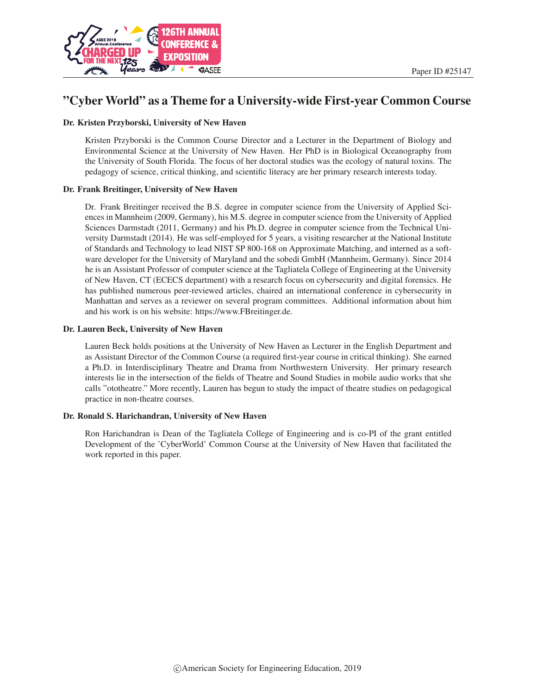

## "Cyber World" as a Theme for a University-wide First-year Common Course

#### Dr. Kristen Przyborski, University of New Haven

Kristen Przyborski is the Common Course Director and a Lecturer in the Department of Biology and Environmental Science at the University of New Haven. Her PhD is in Biological Oceanography from the University of South Florida. The focus of her doctoral studies was the ecology of natural toxins. The pedagogy of science, critical thinking, and scientific literacy are her primary research interests today.

#### Dr. Frank Breitinger, University of New Haven

Dr. Frank Breitinger received the B.S. degree in computer science from the University of Applied Sciences in Mannheim (2009, Germany), his M.S. degree in computer science from the University of Applied Sciences Darmstadt (2011, Germany) and his Ph.D. degree in computer science from the Technical University Darmstadt (2014). He was self-employed for 5 years, a visiting researcher at the National Institute of Standards and Technology to lead NIST SP 800-168 on Approximate Matching, and interned as a software developer for the University of Maryland and the sobedi GmbH (Mannheim, Germany). Since 2014 he is an Assistant Professor of computer science at the Tagliatela College of Engineering at the University of New Haven, CT (ECECS department) with a research focus on cybersecurity and digital forensics. He has published numerous peer-reviewed articles, chaired an international conference in cybersecurity in Manhattan and serves as a reviewer on several program committees. Additional information about him and his work is on his website: https://www.FBreitinger.de.

#### Dr. Lauren Beck, University of New Haven

Lauren Beck holds positions at the University of New Haven as Lecturer in the English Department and as Assistant Director of the Common Course (a required first-year course in critical thinking). She earned a Ph.D. in Interdisciplinary Theatre and Drama from Northwestern University. Her primary research interests lie in the intersection of the fields of Theatre and Sound Studies in mobile audio works that she calls "ototheatre." More recently, Lauren has begun to study the impact of theatre studies on pedagogical practice in non-theatre courses.

#### Dr. Ronald S. Harichandran, University of New Haven

Ron Harichandran is Dean of the Tagliatela College of Engineering and is co-PI of the grant entitled Development of the 'CyberWorld' Common Course at the University of New Haven that facilitated the work reported in this paper.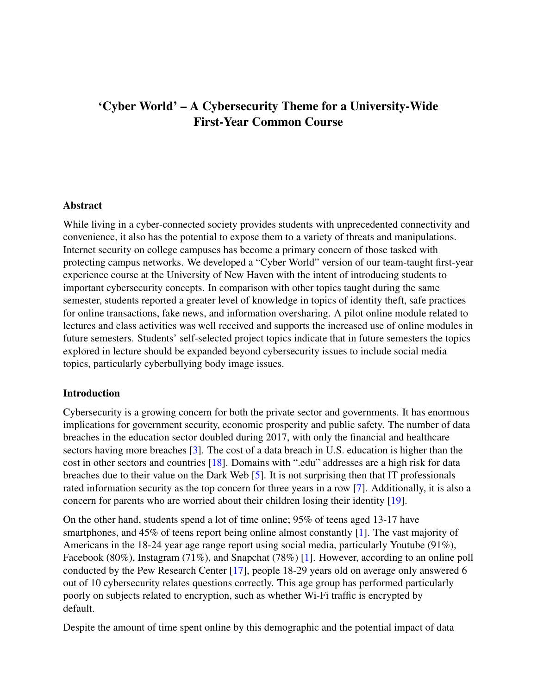## 'Cyber World' – A Cybersecurity Theme for a University-Wide First-Year Common Course

#### Abstract

While living in a cyber-connected society provides students with unprecedented connectivity and convenience, it also has the potential to expose them to a variety of threats and manipulations. Internet security on college campuses has become a primary concern of those tasked with protecting campus networks. We developed a "Cyber World" version of our team-taught first-year experience course at the University of New Haven with the intent of introducing students to important cybersecurity concepts. In comparison with other topics taught during the same semester, students reported a greater level of knowledge in topics of identity theft, safe practices for online transactions, fake news, and information oversharing. A pilot online module related to lectures and class activities was well received and supports the increased use of online modules in future semesters. Students' self-selected project topics indicate that in future semesters the topics explored in lecture should be expanded beyond cybersecurity issues to include social media topics, particularly cyberbullying body image issues.

### Introduction

Cybersecurity is a growing concern for both the private sector and governments. It has enormous implications for government security, economic prosperity and public safety. The number of data breaches in the education sector doubled during 2017, with only the financial and healthcare sectors having more breaches [\[3\]](#page-12-0). The cost of a data breach in U.S. education is higher than the cost in other sectors and countries [\[18\]](#page-13-0). Domains with ".edu" addresses are a high risk for data breaches due to their value on the Dark Web [\[5\]](#page-13-1). It is not surprising then that IT professionals rated information security as the top concern for three years in a row [\[7\]](#page-13-2). Additionally, it is also a concern for parents who are worried about their children losing their identity [\[19\]](#page-13-3).

On the other hand, students spend a lot of time online; 95% of teens aged 13-17 have smartphones, and 45% of teens report being online almost constantly [\[1\]](#page-12-1). The vast majority of Americans in the 18-24 year age range report using social media, particularly Youtube (91%), Facebook (80%), Instagram (71%), and Snapchat (78%) [\[1\]](#page-12-1). However, according to an online poll conducted by the Pew Research Center [\[17\]](#page-13-4), people 18-29 years old on average only answered 6 out of 10 cybersecurity relates questions correctly. This age group has performed particularly poorly on subjects related to encryption, such as whether Wi-Fi traffic is encrypted by default.

Despite the amount of time spent online by this demographic and the potential impact of data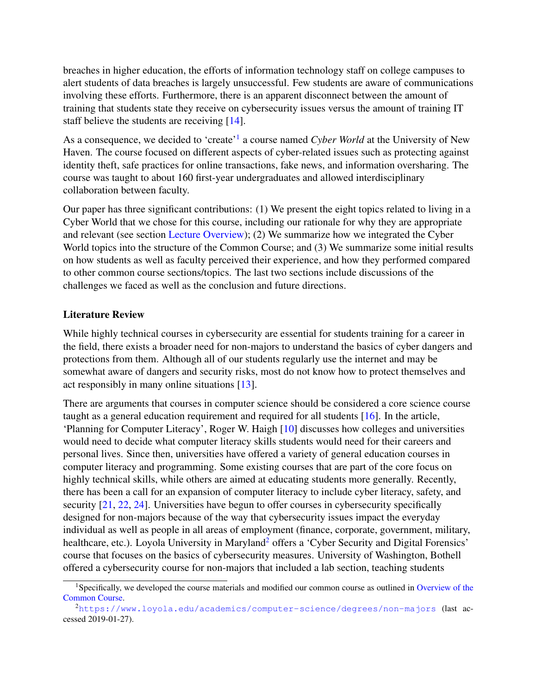breaches in higher education, the efforts of information technology staff on college campuses to alert students of data breaches is largely unsuccessful. Few students are aware of communications involving these efforts. Furthermore, there is an apparent disconnect between the amount of training that students state they receive on cybersecurity issues versus the amount of training IT staff believe the students are receiving [\[14\]](#page-13-5).

As a consequence, we decided to 'create'<sup>[1](#page-3-0)</sup> a course named *Cyber World* at the University of New Haven. The course focused on different aspects of cyber-related issues such as protecting against identity theft, safe practices for online transactions, fake news, and information oversharing. The course was taught to about 160 first-year undergraduates and allowed interdisciplinary collaboration between faculty.

Our paper has three significant contributions: (1) We present the eight topics related to living in a Cyber World that we chose for this course, including our rationale for why they are appropriate and relevant (see section [Lecture Overview\)](#page-6-0); (2) We summarize how we integrated the Cyber World topics into the structure of the Common Course; and (3) We summarize some initial results on how students as well as faculty perceived their experience, and how they performed compared to other common course sections/topics. The last two sections include discussions of the challenges we faced as well as the conclusion and future directions.

#### Literature Review

While highly technical courses in cybersecurity are essential for students training for a career in the field, there exists a broader need for non-majors to understand the basics of cyber dangers and protections from them. Although all of our students regularly use the internet and may be somewhat aware of dangers and security risks, most do not know how to protect themselves and act responsibly in many online situations [\[13\]](#page-13-6).

There are arguments that courses in computer science should be considered a core science course taught as a general education requirement and required for all students [\[16\]](#page-13-7). In the article, 'Planning for Computer Literacy', Roger W. Haigh [\[10\]](#page-13-8) discusses how colleges and universities would need to decide what computer literacy skills students would need for their careers and personal lives. Since then, universities have offered a variety of general education courses in computer literacy and programming. Some existing courses that are part of the core focus on highly technical skills, while others are aimed at educating students more generally. Recently, there has been a call for an expansion of computer literacy to include cyber literacy, safety, and security  $[21, 22, 24]$  $[21, 22, 24]$  $[21, 22, 24]$  $[21, 22, 24]$  $[21, 22, 24]$ . Universities have begun to offer courses in cybersecurity specifically designed for non-majors because of the way that cybersecurity issues impact the everyday individual as well as people in all areas of employment (finance, corporate, government, military, healthcare, etc.). Loyola University in Maryland<sup>[2](#page-3-1)</sup> offers a 'Cyber Security and Digital Forensics' course that focuses on the basics of cybersecurity measures. University of Washington, Bothell offered a cybersecurity course for non-majors that included a lab section, teaching students

<span id="page-3-0"></span><sup>&</sup>lt;sup>1</sup>Specifically, we developed the course materials and modified our common course as outlined in [Overview of the](#page-4-0) [Common Course.](#page-4-0)

<span id="page-3-1"></span> $^{2}$ <https://www.loyola.edu/academics/computer-science/degrees/non-majors> (last accessed 2019-01-27).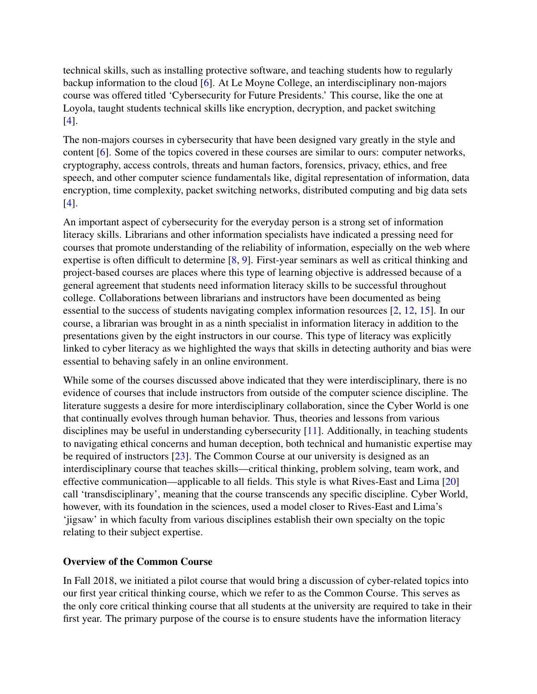technical skills, such as installing protective software, and teaching students how to regularly backup information to the cloud [\[6\]](#page-13-11). At Le Moyne College, an interdisciplinary non-majors course was offered titled 'Cybersecurity for Future Presidents.' This course, like the one at Loyola, taught students technical skills like encryption, decryption, and packet switching [\[4\]](#page-13-12).

The non-majors courses in cybersecurity that have been designed vary greatly in the style and content [\[6\]](#page-13-11). Some of the topics covered in these courses are similar to ours: computer networks, cryptography, access controls, threats and human factors, forensics, privacy, ethics, and free speech, and other computer science fundamentals like, digital representation of information, data encryption, time complexity, packet switching networks, distributed computing and big data sets [\[4\]](#page-13-12).

An important aspect of cybersecurity for the everyday person is a strong set of information literacy skills. Librarians and other information specialists have indicated a pressing need for courses that promote understanding of the reliability of information, especially on the web where expertise is often difficult to determine [\[8,](#page-13-13) [9\]](#page-13-14). First-year seminars as well as critical thinking and project-based courses are places where this type of learning objective is addressed because of a general agreement that students need information literacy skills to be successful throughout college. Collaborations between librarians and instructors have been documented as being essential to the success of students navigating complex information resources [\[2,](#page-12-2) [12,](#page-13-15) [15\]](#page-13-16). In our course, a librarian was brought in as a ninth specialist in information literacy in addition to the presentations given by the eight instructors in our course. This type of literacy was explicitly linked to cyber literacy as we highlighted the ways that skills in detecting authority and bias were essential to behaving safely in an online environment.

While some of the courses discussed above indicated that they were interdisciplinary, there is no evidence of courses that include instructors from outside of the computer science discipline. The literature suggests a desire for more interdisciplinary collaboration, since the Cyber World is one that continually evolves through human behavior. Thus, theories and lessons from various disciplines may be useful in understanding cybersecurity [\[11\]](#page-13-17). Additionally, in teaching students to navigating ethical concerns and human deception, both technical and humanistic expertise may be required of instructors [\[23\]](#page-14-1). The Common Course at our university is designed as an interdisciplinary course that teaches skills—critical thinking, problem solving, team work, and effective communication—applicable to all fields. This style is what Rives-East and Lima [\[20\]](#page-13-18) call 'transdisciplinary', meaning that the course transcends any specific discipline. Cyber World, however, with its foundation in the sciences, used a model closer to Rives-East and Lima's 'jigsaw' in which faculty from various disciplines establish their own specialty on the topic relating to their subject expertise.

### <span id="page-4-0"></span>Overview of the Common Course

In Fall 2018, we initiated a pilot course that would bring a discussion of cyber-related topics into our first year critical thinking course, which we refer to as the Common Course. This serves as the only core critical thinking course that all students at the university are required to take in their first year. The primary purpose of the course is to ensure students have the information literacy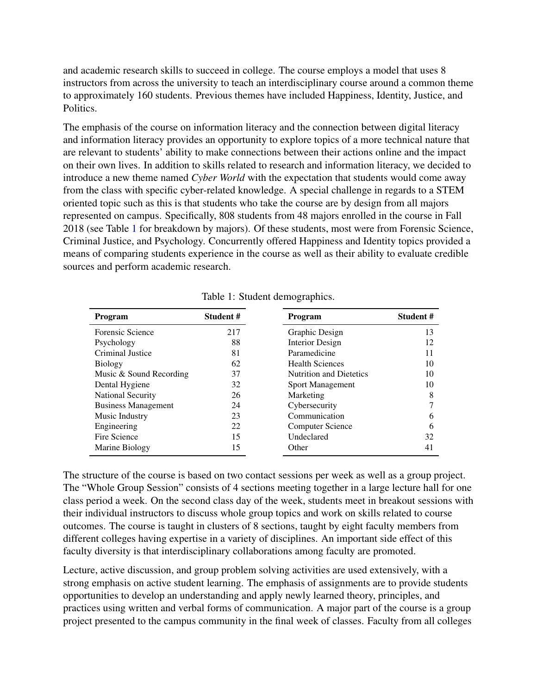and academic research skills to succeed in college. The course employs a model that uses 8 instructors from across the university to teach an interdisciplinary course around a common theme to approximately 160 students. Previous themes have included Happiness, Identity, Justice, and Politics.

The emphasis of the course on information literacy and the connection between digital literacy and information literacy provides an opportunity to explore topics of a more technical nature that are relevant to students' ability to make connections between their actions online and the impact on their own lives. In addition to skills related to research and information literacy, we decided to introduce a new theme named *Cyber World* with the expectation that students would come away from the class with specific cyber-related knowledge. A special challenge in regards to a STEM oriented topic such as this is that students who take the course are by design from all majors represented on campus. Specifically, 808 students from 48 majors enrolled in the course in Fall 2018 (see Table [1](#page-5-0) for breakdown by majors). Of these students, most were from Forensic Science, Criminal Justice, and Psychology. Concurrently offered Happiness and Identity topics provided a means of comparing students experience in the course as well as their ability to evaluate credible sources and perform academic research.

| <b>Program</b>             | Student# | Program                        | Student# |  |
|----------------------------|----------|--------------------------------|----------|--|
| Forensic Science           | 217      | Graphic Design                 | 13       |  |
| Psychology                 | 88       | <b>Interior Design</b>         | 12       |  |
| Criminal Justice           | 81       | Paramedicine                   | 11       |  |
| <b>Biology</b>             | 62       | <b>Health Sciences</b>         | 10       |  |
| Music & Sound Recording    | 37       | <b>Nutrition and Dietetics</b> | 10       |  |
| Dental Hygiene             | 32       | <b>Sport Management</b>        | 10       |  |
| <b>National Security</b>   | 26       | Marketing                      | 8        |  |
| <b>Business Management</b> | 24       | Cybersecurity                  |          |  |
| Music Industry             | 23       | Communication                  | 6        |  |
| Engineering                | 22       | Computer Science               | 6        |  |
| Fire Science               | 15       | Undeclared                     | 32       |  |
| Marine Biology             | 15       | Other                          | 41       |  |

<span id="page-5-0"></span>Table 1: Student demographics.

The structure of the course is based on two contact sessions per week as well as a group project. The "Whole Group Session" consists of 4 sections meeting together in a large lecture hall for one class period a week. On the second class day of the week, students meet in breakout sessions with their individual instructors to discuss whole group topics and work on skills related to course outcomes. The course is taught in clusters of 8 sections, taught by eight faculty members from different colleges having expertise in a variety of disciplines. An important side effect of this faculty diversity is that interdisciplinary collaborations among faculty are promoted.

Lecture, active discussion, and group problem solving activities are used extensively, with a strong emphasis on active student learning. The emphasis of assignments are to provide students opportunities to develop an understanding and apply newly learned theory, principles, and practices using written and verbal forms of communication. A major part of the course is a group project presented to the campus community in the final week of classes. Faculty from all colleges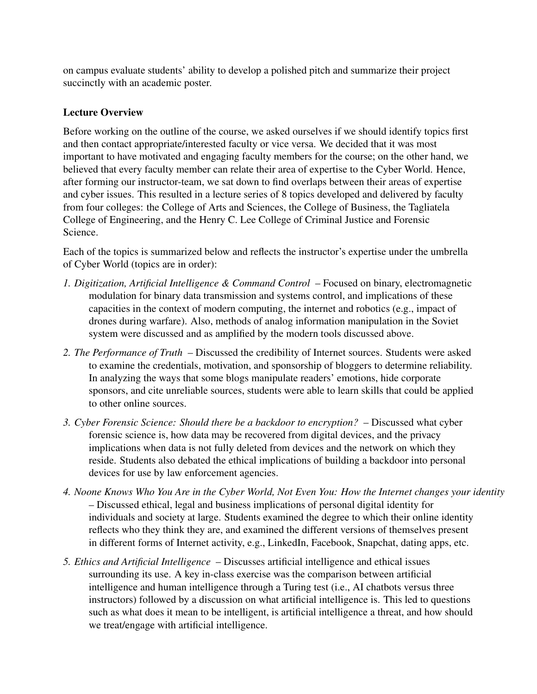on campus evaluate students' ability to develop a polished pitch and summarize their project succinctly with an academic poster.

## <span id="page-6-0"></span>Lecture Overview

Before working on the outline of the course, we asked ourselves if we should identify topics first and then contact appropriate/interested faculty or vice versa. We decided that it was most important to have motivated and engaging faculty members for the course; on the other hand, we believed that every faculty member can relate their area of expertise to the Cyber World. Hence, after forming our instructor-team, we sat down to find overlaps between their areas of expertise and cyber issues. This resulted in a lecture series of 8 topics developed and delivered by faculty from four colleges: the College of Arts and Sciences, the College of Business, the Tagliatela College of Engineering, and the Henry C. Lee College of Criminal Justice and Forensic Science.

Each of the topics is summarized below and reflects the instructor's expertise under the umbrella of Cyber World (topics are in order):

- *1. Digitization, Artificial Intelligence & Command Control* Focused on binary, electromagnetic modulation for binary data transmission and systems control, and implications of these capacities in the context of modern computing, the internet and robotics (e.g., impact of drones during warfare). Also, methods of analog information manipulation in the Soviet system were discussed and as amplified by the modern tools discussed above.
- *2. The Performance of Truth* Discussed the credibility of Internet sources. Students were asked to examine the credentials, motivation, and sponsorship of bloggers to determine reliability. In analyzing the ways that some blogs manipulate readers' emotions, hide corporate sponsors, and cite unreliable sources, students were able to learn skills that could be applied to other online sources.
- *3. Cyber Forensic Science: Should there be a backdoor to encryption?* Discussed what cyber forensic science is, how data may be recovered from digital devices, and the privacy implications when data is not fully deleted from devices and the network on which they reside. Students also debated the ethical implications of building a backdoor into personal devices for use by law enforcement agencies.
- *4. Noone Knows Who You Are in the Cyber World, Not Even You: How the Internet changes your identity* – Discussed ethical, legal and business implications of personal digital identity for individuals and society at large. Students examined the degree to which their online identity reflects who they think they are, and examined the different versions of themselves present in different forms of Internet activity, e.g., LinkedIn, Facebook, Snapchat, dating apps, etc.
- *5. Ethics and Artificial Intelligence* Discusses artificial intelligence and ethical issues surrounding its use. A key in-class exercise was the comparison between artificial intelligence and human intelligence through a Turing test (i.e., AI chatbots versus three instructors) followed by a discussion on what artificial intelligence is. This led to questions such as what does it mean to be intelligent, is artificial intelligence a threat, and how should we treat/engage with artificial intelligence.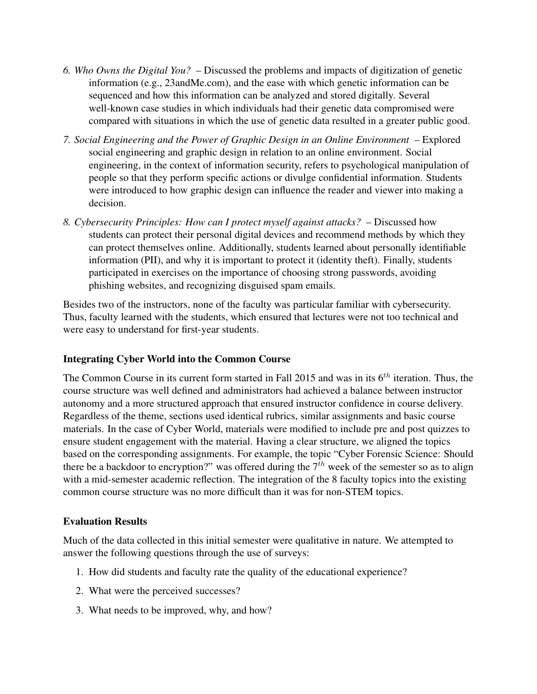- *6. Who Owns the Digital You?* Discussed the problems and impacts of digitization of genetic information (e.g., 23andMe.com), and the ease with which genetic information can be sequenced and how this information can be analyzed and stored digitally. Several well-known case studies in which individuals had their genetic data compromised were compared with situations in which the use of genetic data resulted in a greater public good.
- *7. Social Engineering and the Power of Graphic Design in an Online Environment* Explored social engineering and graphic design in relation to an online environment. Social engineering, in the context of information security, refers to psychological manipulation of people so that they perform specific actions or divulge confidential information. Students were introduced to how graphic design can influence the reader and viewer into making a decision.
- *8. Cybersecurity Principles: How can I protect myself against attacks?* Discussed how students can protect their personal digital devices and recommend methods by which they can protect themselves online. Additionally, students learned about personally identifiable information (PII), and why it is important to protect it (identity theft). Finally, students participated in exercises on the importance of choosing strong passwords, avoiding phishing websites, and recognizing disguised spam emails.

Besides two of the instructors, none of the faculty was particular familiar with cybersecurity. Thus, faculty learned with the students, which ensured that lectures were not too technical and were easy to understand for first-year students.

## Integrating Cyber World into the Common Course

The Common Course in its current form started in Fall 2015 and was in its  $6<sup>th</sup>$  iteration. Thus, the course structure was well defined and administrators had achieved a balance between instructor autonomy and a more structured approach that ensured instructor confidence in course delivery. Regardless of the theme, sections used identical rubrics, similar assignments and basic course materials. In the case of Cyber World, materials were modified to include pre and post quizzes to ensure student engagement with the material. Having a clear structure, we aligned the topics based on the corresponding assignments. For example, the topic "Cyber Forensic Science: Should there be a backdoor to encryption?" was offered during the  $7<sup>th</sup>$  week of the semester so as to align with a mid-semester academic reflection. The integration of the 8 faculty topics into the existing common course structure was no more difficult than it was for non-STEM topics.

## Evaluation Results

Much of the data collected in this initial semester were qualitative in nature. We attempted to answer the following questions through the use of surveys:

- 1. How did students and faculty rate the quality of the educational experience?
- 2. What were the perceived successes?
- 3. What needs to be improved, why, and how?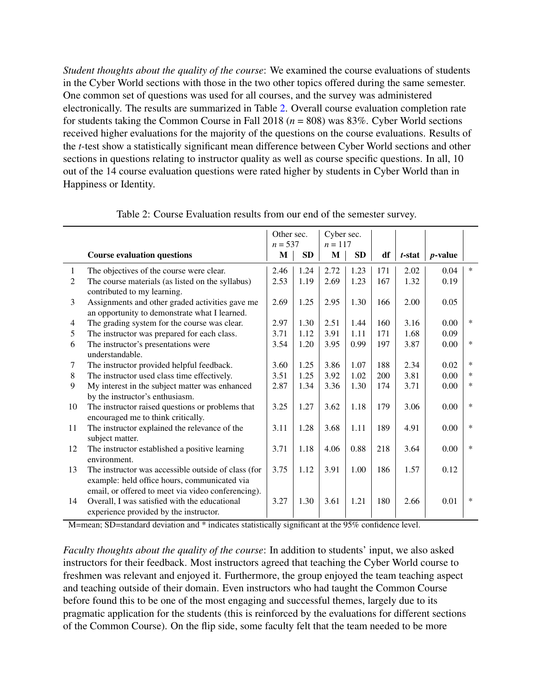*Student thoughts about the quality of the course*: We examined the course evaluations of students in the Cyber World sections with those in the two other topics offered during the same semester. One common set of questions was used for all courses, and the survey was administered electronically. The results are summarized in Table [2.](#page-8-0) Overall course evaluation completion rate for students taking the Common Course in Fall 2018 (*n* = 808) was 83%. Cyber World sections received higher evaluations for the majority of the questions on the course evaluations. Results of the *t*-test show a statistically significant mean difference between Cyber World sections and other sections in questions relating to instructor quality as well as course specific questions. In all, 10 out of the 14 course evaluation questions were rated higher by students in Cyber World than in Happiness or Identity.

|        |                                                                                                                                               | Other sec.<br>$n = 537$ |           | Cyber sec.<br>$n = 117$ |           |     |        |                 |        |
|--------|-----------------------------------------------------------------------------------------------------------------------------------------------|-------------------------|-----------|-------------------------|-----------|-----|--------|-----------------|--------|
|        | <b>Course evaluation questions</b>                                                                                                            | M                       | <b>SD</b> | M                       | <b>SD</b> | df  | t-stat | <i>p</i> -value |        |
| 1      | The objectives of the course were clear.                                                                                                      | 2.46                    | 1.24      | 2.72                    | 1.23      | 171 | 2.02   | 0.04            | $\ast$ |
| 2      | The course materials (as listed on the syllabus)<br>contributed to my learning.                                                               | 2.53                    | 1.19      | 2.69                    | 1.23      | 167 | 1.32   | 0.19            |        |
| 3      | Assignments and other graded activities gave me<br>an opportunity to demonstrate what I learned.                                              | 2.69                    | 1.25      | 2.95                    | 1.30      | 166 | 2.00   | 0.05            |        |
| 4      | The grading system for the course was clear.                                                                                                  | 2.97                    | 1.30      | 2.51                    | 1.44      | 160 | 3.16   | 0.00            | $\ast$ |
| 5      | The instructor was prepared for each class.                                                                                                   | 3.71                    | 1.12      | 3.91                    | 1.11      | 171 | 1.68   | 0.09            |        |
| 6      | The instructor's presentations were<br>understandable.                                                                                        | 3.54                    | 1.20      | 3.95                    | 0.99      | 197 | 3.87   | 0.00            | $\ast$ |
| $\tau$ | The instructor provided helpful feedback.                                                                                                     | 3.60                    | 1.25      | 3.86                    | 1.07      | 188 | 2.34   | 0.02            | $\ast$ |
| 8      | The instructor used class time effectively.                                                                                                   | 3.51                    | 1.25      | 3.92                    | 1.02      | 200 | 3.81   | 0.00            | $\ast$ |
| 9      | My interest in the subject matter was enhanced<br>by the instructor's enthusiasm.                                                             | 2.87                    | 1.34      | 3.36                    | 1.30      | 174 | 3.71   | 0.00            | *      |
| 10     | The instructor raised questions or problems that<br>encouraged me to think critically.                                                        | 3.25                    | 1.27      | 3.62                    | 1.18      | 179 | 3.06   | 0.00            | $\ast$ |
| 11     | The instructor explained the relevance of the<br>subject matter.                                                                              | 3.11                    | 1.28      | 3.68                    | 1.11      | 189 | 4.91   | 0.00            | $\ast$ |
| 12     | The instructor established a positive learning<br>environment.                                                                                | 3.71                    | 1.18      | 4.06                    | 0.88      | 218 | 3.64   | 0.00            | $\ast$ |
| 13     | The instructor was accessible outside of class (for<br>example: held office hours, communicated via                                           | 3.75                    | 1.12      | 3.91                    | 1.00      | 186 | 1.57   | 0.12            |        |
| 14     | email, or offered to meet via video conferencing).<br>Overall, I was satisfied with the educational<br>experience provided by the instructor. | 3.27                    | 1.30      | 3.61                    | 1.21      | 180 | 2.66   | 0.01            | $\ast$ |

<span id="page-8-0"></span>Table 2: Course Evaluation results from our end of the semester survey.

M=mean; SD=standard deviation and \* indicates statistically significant at the 95% confidence level.

*Faculty thoughts about the quality of the course*: In addition to students' input, we also asked instructors for their feedback. Most instructors agreed that teaching the Cyber World course to freshmen was relevant and enjoyed it. Furthermore, the group enjoyed the team teaching aspect and teaching outside of their domain. Even instructors who had taught the Common Course before found this to be one of the most engaging and successful themes, largely due to its pragmatic application for the students (this is reinforced by the evaluations for different sections of the Common Course). On the flip side, some faculty felt that the team needed to be more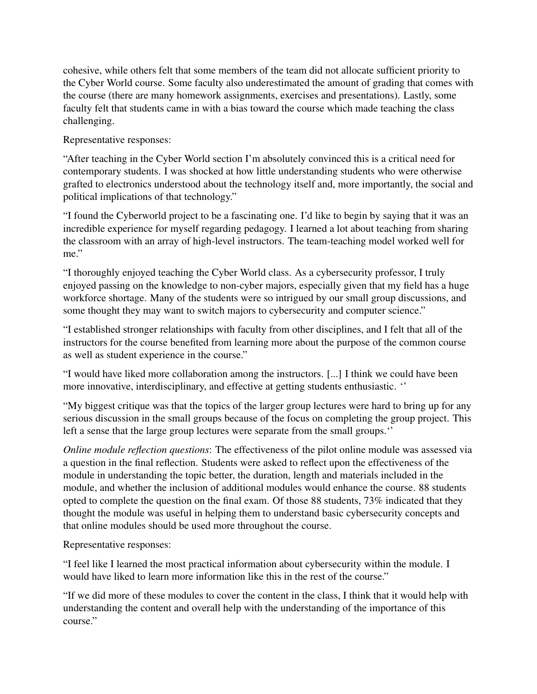cohesive, while others felt that some members of the team did not allocate sufficient priority to the Cyber World course. Some faculty also underestimated the amount of grading that comes with the course (there are many homework assignments, exercises and presentations). Lastly, some faculty felt that students came in with a bias toward the course which made teaching the class challenging.

Representative responses:

"After teaching in the Cyber World section I'm absolutely convinced this is a critical need for contemporary students. I was shocked at how little understanding students who were otherwise grafted to electronics understood about the technology itself and, more importantly, the social and political implications of that technology."

"I found the Cyberworld project to be a fascinating one. I'd like to begin by saying that it was an incredible experience for myself regarding pedagogy. I learned a lot about teaching from sharing the classroom with an array of high-level instructors. The team-teaching model worked well for me."

"I thoroughly enjoyed teaching the Cyber World class. As a cybersecurity professor, I truly enjoyed passing on the knowledge to non-cyber majors, especially given that my field has a huge workforce shortage. Many of the students were so intrigued by our small group discussions, and some thought they may want to switch majors to cybersecurity and computer science."

"I established stronger relationships with faculty from other disciplines, and I felt that all of the instructors for the course benefited from learning more about the purpose of the common course as well as student experience in the course."

"I would have liked more collaboration among the instructors. [...] I think we could have been more innovative, interdisciplinary, and effective at getting students enthusiastic. ''

"My biggest critique was that the topics of the larger group lectures were hard to bring up for any serious discussion in the small groups because of the focus on completing the group project. This left a sense that the large group lectures were separate from the small groups.''

*Online module reflection questions*: The effectiveness of the pilot online module was assessed via a question in the final reflection. Students were asked to reflect upon the effectiveness of the module in understanding the topic better, the duration, length and materials included in the module, and whether the inclusion of additional modules would enhance the course. 88 students opted to complete the question on the final exam. Of those 88 students, 73% indicated that they thought the module was useful in helping them to understand basic cybersecurity concepts and that online modules should be used more throughout the course.

Representative responses:

"I feel like I learned the most practical information about cybersecurity within the module. I would have liked to learn more information like this in the rest of the course."

"If we did more of these modules to cover the content in the class, I think that it would help with understanding the content and overall help with the understanding of the importance of this course."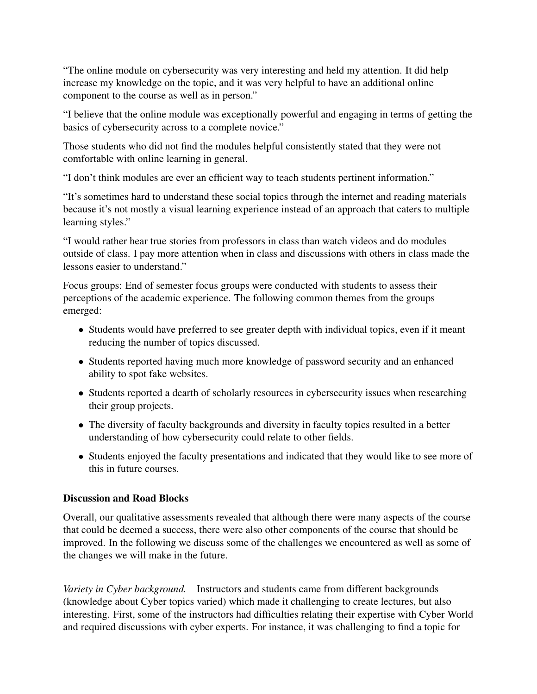"The online module on cybersecurity was very interesting and held my attention. It did help increase my knowledge on the topic, and it was very helpful to have an additional online component to the course as well as in person."

"I believe that the online module was exceptionally powerful and engaging in terms of getting the basics of cybersecurity across to a complete novice."

Those students who did not find the modules helpful consistently stated that they were not comfortable with online learning in general.

"I don't think modules are ever an efficient way to teach students pertinent information."

"It's sometimes hard to understand these social topics through the internet and reading materials because it's not mostly a visual learning experience instead of an approach that caters to multiple learning styles."

"I would rather hear true stories from professors in class than watch videos and do modules outside of class. I pay more attention when in class and discussions with others in class made the lessons easier to understand."

Focus groups: End of semester focus groups were conducted with students to assess their perceptions of the academic experience. The following common themes from the groups emerged:

- Students would have preferred to see greater depth with individual topics, even if it meant reducing the number of topics discussed.
- Students reported having much more knowledge of password security and an enhanced ability to spot fake websites.
- Students reported a dearth of scholarly resources in cybersecurity issues when researching their group projects.
- The diversity of faculty backgrounds and diversity in faculty topics resulted in a better understanding of how cybersecurity could relate to other fields.
- Students enjoyed the faculty presentations and indicated that they would like to see more of this in future courses.

## Discussion and Road Blocks

Overall, our qualitative assessments revealed that although there were many aspects of the course that could be deemed a success, there were also other components of the course that should be improved. In the following we discuss some of the challenges we encountered as well as some of the changes we will make in the future.

*Variety in Cyber background.* Instructors and students came from different backgrounds (knowledge about Cyber topics varied) which made it challenging to create lectures, but also interesting. First, some of the instructors had difficulties relating their expertise with Cyber World and required discussions with cyber experts. For instance, it was challenging to find a topic for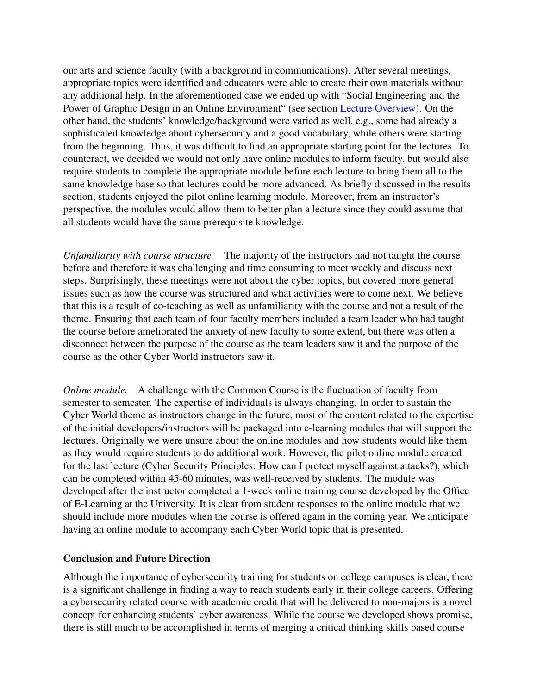our arts and science faculty (with a background in communications). After several meetings, appropriate topics were identified and educators were able to create their own materials without any additional help. In the aforementioned case we ended up with "Social Engineering and the Power of Graphic Design in an Online Environment" (see section [Lecture Overview\)](#page-6-0). On the other hand, the students' knowledge/background were varied as well, e.g., some had already a sophisticated knowledge about cybersecurity and a good vocabulary, while others were starting from the beginning. Thus, it was difficult to find an appropriate starting point for the lectures. To counteract, we decided we would not only have online modules to inform faculty, but would also require students to complete the appropriate module before each lecture to bring them all to the same knowledge base so that lectures could be more advanced. As briefly discussed in the results section, students enjoyed the pilot online learning module. Moreover, from an instructor's perspective, the modules would allow them to better plan a lecture since they could assume that all students would have the same prerequisite knowledge.

*Unfamiliarity with course structure.* The majority of the instructors had not taught the course before and therefore it was challenging and time consuming to meet weekly and discuss next steps. Surprisingly, these meetings were not about the cyber topics, but covered more general issues such as how the course was structured and what activities were to come next. We believe that this is a result of co-teaching as well as unfamiliarity with the course and not a result of the theme. Ensuring that each team of four faculty members included a team leader who had taught the course before ameliorated the anxiety of new faculty to some extent, but there was often a disconnect between the purpose of the course as the team leaders saw it and the purpose of the course as the other Cyber World instructors saw it.

*Online module.* A challenge with the Common Course is the fluctuation of faculty from semester to semester. The expertise of individuals is always changing. In order to sustain the Cyber World theme as instructors change in the future, most of the content related to the expertise of the initial developers/instructors will be packaged into e-learning modules that will support the lectures. Originally we were unsure about the online modules and how students would like them as they would require students to do additional work. However, the pilot online module created for the last lecture (Cyber Security Principles: How can I protect myself against attacks?), which can be completed within 45-60 minutes, was well-received by students. The module was developed after the instructor completed a 1-week online training course developed by the Office of E-Learning at the University. It is clear from student responses to the online module that we should include more modules when the course is offered again in the coming year. We anticipate having an online module to accompany each Cyber World topic that is presented.

#### Conclusion and Future Direction

Although the importance of cybersecurity training for students on college campuses is clear, there is a significant challenge in finding a way to reach students early in their college careers. Offering a cybersecurity related course with academic credit that will be delivered to non-majors is a novel concept for enhancing students' cyber awareness. While the course we developed shows promise, there is still much to be accomplished in terms of merging a critical thinking skills based course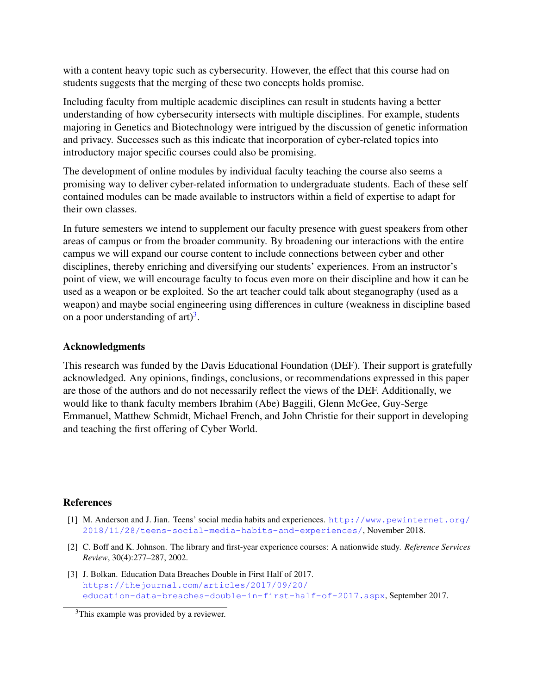with a content heavy topic such as cybersecurity. However, the effect that this course had on students suggests that the merging of these two concepts holds promise.

Including faculty from multiple academic disciplines can result in students having a better understanding of how cybersecurity intersects with multiple disciplines. For example, students majoring in Genetics and Biotechnology were intrigued by the discussion of genetic information and privacy. Successes such as this indicate that incorporation of cyber-related topics into introductory major specific courses could also be promising.

The development of online modules by individual faculty teaching the course also seems a promising way to deliver cyber-related information to undergraduate students. Each of these self contained modules can be made available to instructors within a field of expertise to adapt for their own classes.

In future semesters we intend to supplement our faculty presence with guest speakers from other areas of campus or from the broader community. By broadening our interactions with the entire campus we will expand our course content to include connections between cyber and other disciplines, thereby enriching and diversifying our students' experiences. From an instructor's point of view, we will encourage faculty to focus even more on their discipline and how it can be used as a weapon or be exploited. So the art teacher could talk about steganography (used as a weapon) and maybe social engineering using differences in culture (weakness in discipline based on a poor understanding of  $art)^3$  $art)^3$ .

#### Acknowledgments

This research was funded by the Davis Educational Foundation (DEF). Their support is gratefully acknowledged. Any opinions, findings, conclusions, or recommendations expressed in this paper are those of the authors and do not necessarily reflect the views of the DEF. Additionally, we would like to thank faculty members Ibrahim (Abe) Baggili, Glenn McGee, Guy-Serge Emmanuel, Matthew Schmidt, Michael French, and John Christie for their support in developing and teaching the first offering of Cyber World.

#### References

- <span id="page-12-1"></span>[1] M. Anderson and J. Jian. Teens' social media habits and experiences. [http://www.pewinternet.org/](http://www.pewinternet.org/2018/11/28/teens-social-media-habits-and-experiences/) [2018/11/28/teens-social-media-habits-and-experiences/](http://www.pewinternet.org/2018/11/28/teens-social-media-habits-and-experiences/), November 2018.
- <span id="page-12-2"></span>[2] C. Boff and K. Johnson. The library and first-year experience courses: A nationwide study. *Reference Services Review*, 30(4):277–287, 2002.
- <span id="page-12-0"></span>[3] J. Bolkan. Education Data Breaches Double in First Half of 2017. [https://thejournal.com/articles/2017/09/20/](https://thejournal.com/articles/2017/09/20/education-data-breaches-double-in-first-half-of-2017.aspx) [education-data-breaches-double-in-first-half-of-2017.aspx](https://thejournal.com/articles/2017/09/20/education-data-breaches-double-in-first-half-of-2017.aspx), September 2017.

<span id="page-12-3"></span><sup>3</sup>This example was provided by a reviewer.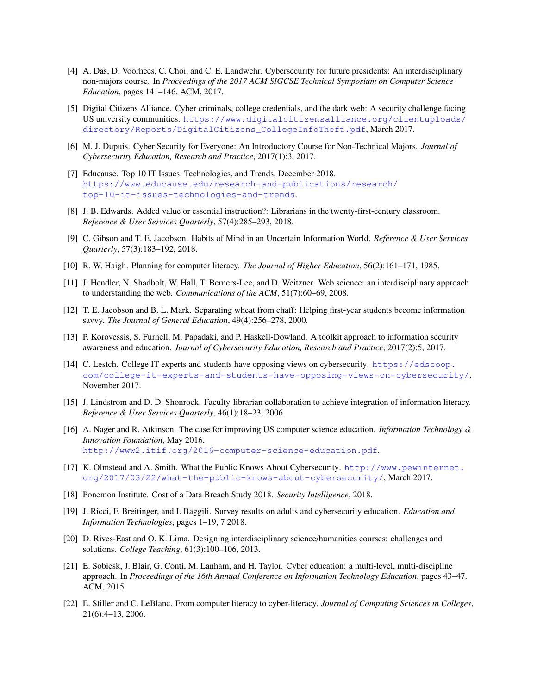- <span id="page-13-12"></span>[4] A. Das, D. Voorhees, C. Choi, and C. E. Landwehr. Cybersecurity for future presidents: An interdisciplinary non-majors course. In *Proceedings of the 2017 ACM SIGCSE Technical Symposium on Computer Science Education*, pages 141–146. ACM, 2017.
- <span id="page-13-1"></span>[5] Digital Citizens Alliance. Cyber criminals, college credentials, and the dark web: A security challenge facing US university communities. [https://www.digitalcitizensalliance.org/clientuploads/](https://www.digitalcitizensalliance.org/clientuploads/directory/Reports/DigitalCitizens_CollegeInfoTheft.pdf) [directory/Reports/DigitalCitizens\\_CollegeInfoTheft.pdf](https://www.digitalcitizensalliance.org/clientuploads/directory/Reports/DigitalCitizens_CollegeInfoTheft.pdf), March 2017.
- <span id="page-13-11"></span>[6] M. J. Dupuis. Cyber Security for Everyone: An Introductory Course for Non-Technical Majors. *Journal of Cybersecurity Education, Research and Practice*, 2017(1):3, 2017.
- <span id="page-13-2"></span>[7] Educause. Top 10 IT Issues, Technologies, and Trends, December 2018. [https://www.educause.edu/research-and-publications/research/](https://www.educause.edu/research-and-publications/research/top-10-it-issues-technologies-and-trends) [top-10-it-issues-technologies-and-trends](https://www.educause.edu/research-and-publications/research/top-10-it-issues-technologies-and-trends).
- <span id="page-13-13"></span>[8] J. B. Edwards. Added value or essential instruction?: Librarians in the twenty-first-century classroom. *Reference & User Services Quarterly*, 57(4):285–293, 2018.
- <span id="page-13-14"></span>[9] C. Gibson and T. E. Jacobson. Habits of Mind in an Uncertain Information World. *Reference & User Services Quarterly*, 57(3):183–192, 2018.
- <span id="page-13-8"></span>[10] R. W. Haigh. Planning for computer literacy. *The Journal of Higher Education*, 56(2):161–171, 1985.
- <span id="page-13-17"></span>[11] J. Hendler, N. Shadbolt, W. Hall, T. Berners-Lee, and D. Weitzner. Web science: an interdisciplinary approach to understanding the web. *Communications of the ACM*, 51(7):60–69, 2008.
- <span id="page-13-15"></span>[12] T. E. Jacobson and B. L. Mark. Separating wheat from chaff: Helping first-year students become information savvy. *The Journal of General Education*, 49(4):256–278, 2000.
- <span id="page-13-6"></span>[13] P. Korovessis, S. Furnell, M. Papadaki, and P. Haskell-Dowland. A toolkit approach to information security awareness and education. *Journal of Cybersecurity Education, Research and Practice*, 2017(2):5, 2017.
- <span id="page-13-5"></span>[14] C. Lestch. College IT experts and students have opposing views on cybersecurity. [https://edscoop.](https://edscoop.com/college-it-experts-and-students-have-opposing-views-on-cybersecurity/) [com/college-it-experts-and-students-have-opposing-views-on-cybersecurity/](https://edscoop.com/college-it-experts-and-students-have-opposing-views-on-cybersecurity/), November 2017.
- <span id="page-13-16"></span>[15] J. Lindstrom and D. D. Shonrock. Faculty-librarian collaboration to achieve integration of information literacy. *Reference & User Services Quarterly*, 46(1):18–23, 2006.
- <span id="page-13-7"></span>[16] A. Nager and R. Atkinson. The case for improving US computer science education. *Information Technology & Innovation Foundation*, May 2016. <http://www2.itif.org/2016-computer-science-education.pdf>.
- <span id="page-13-4"></span>[17] K. Olmstead and A. Smith. What the Public Knows About Cybersecurity. [http://www.pewinternet.](http://www.pewinternet.org/2017/03/22/what-the-public-knows-about-cybersecurity/) [org/2017/03/22/what-the-public-knows-about-cybersecurity/](http://www.pewinternet.org/2017/03/22/what-the-public-knows-about-cybersecurity/), March 2017.
- <span id="page-13-0"></span>[18] Ponemon Institute. Cost of a Data Breach Study 2018. *Security Intelligence*, 2018.
- <span id="page-13-3"></span>[19] J. Ricci, F. Breitinger, and I. Baggili. Survey results on adults and cybersecurity education. *Education and Information Technologies*, pages 1–19, 7 2018.
- <span id="page-13-18"></span>[20] D. Rives-East and O. K. Lima. Designing interdisciplinary science/humanities courses: challenges and solutions. *College Teaching*, 61(3):100–106, 2013.
- <span id="page-13-9"></span>[21] E. Sobiesk, J. Blair, G. Conti, M. Lanham, and H. Taylor. Cyber education: a multi-level, multi-discipline approach. In *Proceedings of the 16th Annual Conference on Information Technology Education*, pages 43–47. ACM, 2015.
- <span id="page-13-10"></span>[22] E. Stiller and C. LeBlanc. From computer literacy to cyber-literacy. *Journal of Computing Sciences in Colleges*, 21(6):4–13, 2006.